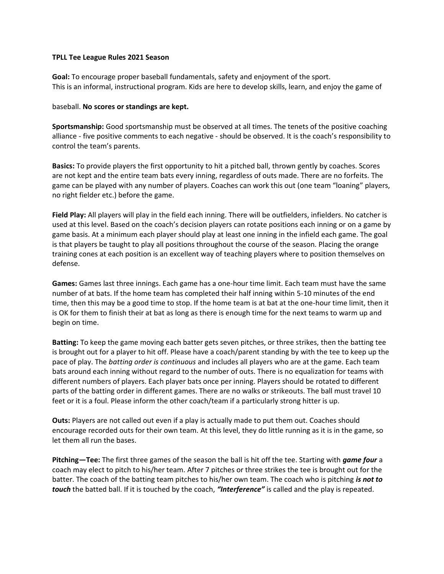## **TPLL Tee League Rules 2021 Season**

**Goal:** To encourage proper baseball fundamentals, safety and enjoyment of the sport. This is an informal, instructional program. Kids are here to develop skills, learn, and enjoy the game of

## baseball. **No scores or standings are kept.**

**Sportsmanship:** Good sportsmanship must be observed at all times. The tenets of the positive coaching alliance - five positive comments to each negative - should be observed. It is the coach's responsibility to control the team's parents.

**Basics:** To provide players the first opportunity to hit a pitched ball, thrown gently by coaches. Scores are not kept and the entire team bats every inning, regardless of outs made. There are no forfeits. The game can be played with any number of players. Coaches can work this out (one team "loaning" players, no right fielder etc.) before the game.

**Field Play:** All players will play in the field each inning. There will be outfielders, infielders. No catcher is used at this level. Based on the coach's decision players can rotate positions each inning or on a game by game basis. At a minimum each player should play at least one inning in the infield each game. The goal is that players be taught to play all positions throughout the course of the season. Placing the orange training cones at each position is an excellent way of teaching players where to position themselves on defense.

**Games:** Games last three innings. Each game has a one-hour time limit. Each team must have the same number of at bats. If the home team has completed their half inning within 5-10 minutes of the end time, then this may be a good time to stop. If the home team is at bat at the one-hour time limit, then it is OK for them to finish their at bat as long as there is enough time for the next teams to warm up and begin on time.

**Batting:** To keep the game moving each batter gets seven pitches, or three strikes, then the batting tee is brought out for a player to hit off. Please have a coach/parent standing by with the tee to keep up the pace of play. The *batting order is continuous* and includes all players who are at the game. Each team bats around each inning without regard to the number of outs. There is no equalization for teams with different numbers of players. Each player bats once per inning. Players should be rotated to different parts of the batting order in different games. There are no walks or strikeouts. The ball must travel 10 feet or it is a foul. Please inform the other coach/team if a particularly strong hitter is up.

**Outs:** Players are not called out even if a play is actually made to put them out. Coaches should encourage recorded outs for their own team. At this level, they do little running as it is in the game, so let them all run the bases.

**Pitching—Tee:** The first three games of the season the ball is hit off the tee. Starting with *game four* a coach may elect to pitch to his/her team. After 7 pitches or three strikes the tee is brought out for the batter. The coach of the batting team pitches to his/her own team. The coach who is pitching *is not to touch* the batted ball. If it is touched by the coach, *"Interference"* is called and the play is repeated.